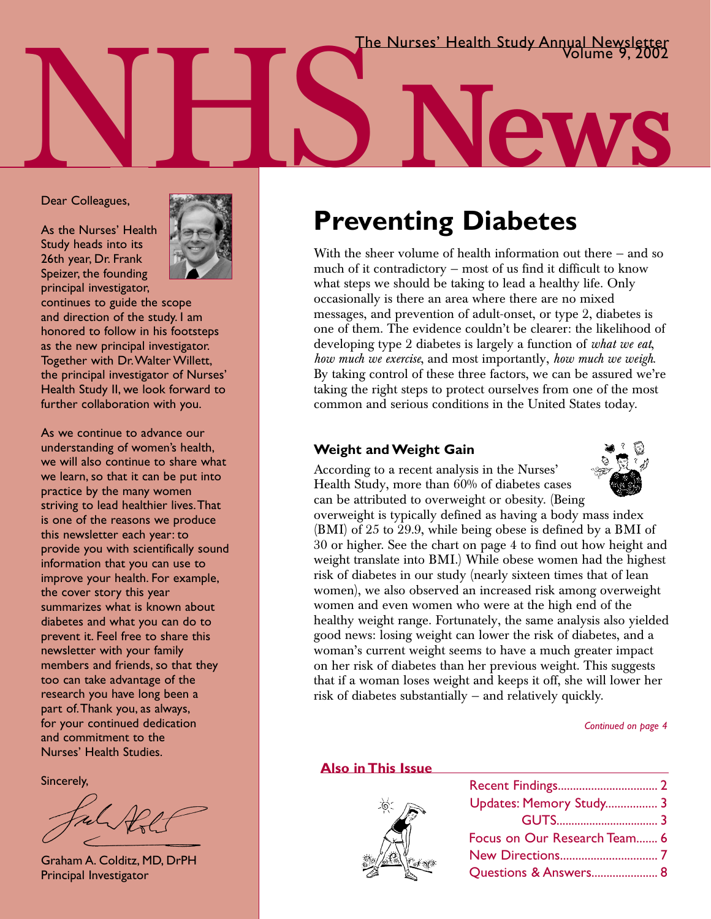NHS **News** The Nurses' Health Study Annual Newsletter Volume 9, 2002

#### Dear Colleagues,

As the Nurses' Health Study heads into its 26th year, Dr. Frank Speizer, the founding principal investigator,



continues to guide the scope and direction of the study. I am honored to follow in his footsteps as the new principal investigator. Together with Dr.Walter Willett, the principal investigator of Nurses' Health Study II, we look forward to further collaboration with you.

As we continue to advance our understanding of women's health, we will also continue to share what we learn, so that it can be put into practice by the many women striving to lead healthier lives.That is one of the reasons we produce this newsletter each year: to provide you with scientifically sound information that you can use to improve your health. For example, the cover story this year summarizes what is known about diabetes and what you can do to prevent it. Feel free to share this newsletter with your family members and friends, so that they too can take advantage of the research you have long been a part of.Thank you, as always, for your continued dedication and commitment to the Nurses' Health Studies.

Sincerely,

Graham A. Colditz, MD, DrPH Principal Investigator

## **Preventing Diabetes**

With the sheer volume of health information out there – and so much of it contradictory — most of us find it difficult to know what steps we should be taking to lead a healthy life. Only occasionally is there an area where there are no mixed messages, and prevention of adult-onset, or type 2, diabetes is one of them. The evidence couldn't be clearer: the likelihood of developing type 2 diabetes is largely a function of *what we eat*, *how much we exercise*, and most importantly, *how much we weigh*. By taking control of these three factors, we can be assured we're taking the right steps to protect ourselves from one of the most common and serious conditions in the United States today.

#### **Weight and Weight Gain**



According to a recent analysis in the Nurses' Health Study, more than 60% of diabetes cases can be attributed to overweight or obesity. (Being

overweight is typically defined as having a body mass index (BMI) of 25 to 29.9, while being obese is defined by a BMI of 30 or higher. See the chart on page 4 to find out how height and weight translate into BMI.) While obese women had the highest risk of diabetes in our study (nearly sixteen times that of lean women), we also observed an increased risk among overweight women and even women who were at the high end of the healthy weight range. Fortunately, the same analysis also yielded good news: losing weight can lower the risk of diabetes, and a woman's current weight seems to have a much greater impact on her risk of diabetes than her previous weight. This suggests that if a woman loses weight and keeps it off, she will lower her risk of diabetes substantially — and relatively quickly.

*Continued on page 4*

#### **Also in This Issue**



| Updates: Memory Study 3      |  |
|------------------------------|--|
|                              |  |
| Focus on Our Research Team 6 |  |
|                              |  |
| Questions & Answers 8        |  |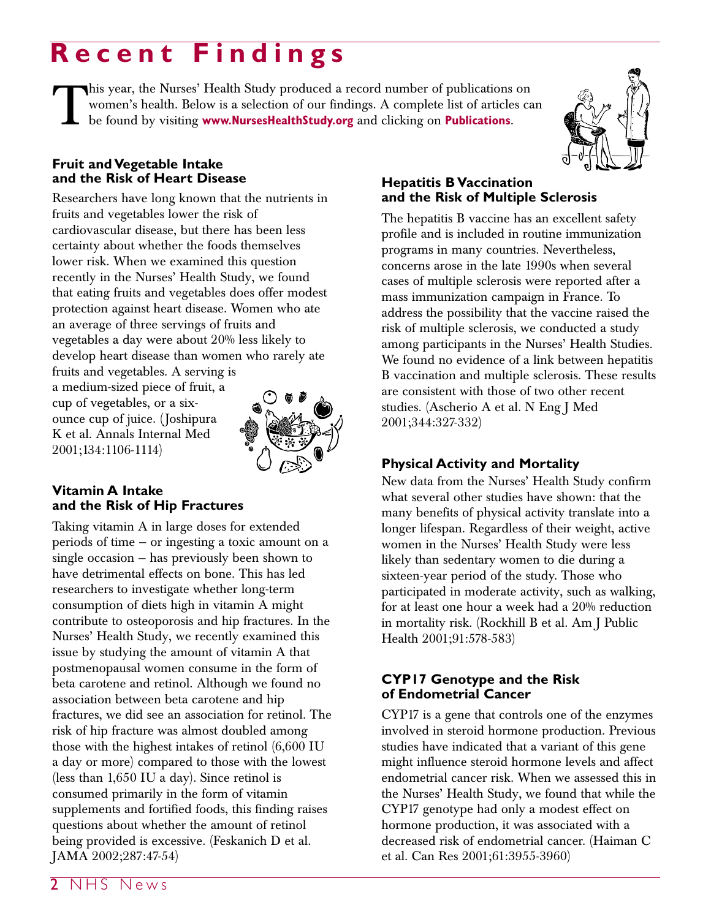# **Recent Findings**

This year, the Nurses' Health Study produced a record number of publications on women's health. Below is a selection of our findings. A complete list of articles controlled by visiting **www.NursesHealthStudy.org** and click women's health. Below is a selection of our findings. A complete list of articles can be found by visiting **www.NursesHealthStudy.org** and clicking on **Publications**.



#### **Fruit and Vegetable Intake and the Risk of Heart Disease**

Researchers have long known that the nutrients in fruits and vegetables lower the risk of cardiovascular disease, but there has been less certainty about whether the foods themselves lower risk. When we examined this question recently in the Nurses' Health Study, we found that eating fruits and vegetables does offer modest protection against heart disease. Women who ate an average of three servings of fruits and vegetables a day were about 20% less likely to develop heart disease than women who rarely ate fruits and vegetables. A serving is

a medium-sized piece of fruit, a cup of vegetables, or a sixounce cup of juice. (Joshipura K et al. Annals Internal Med 2001;134:1106-1114)



#### **Vitamin A Intake and the Risk of Hip Fractures**

Taking vitamin A in large doses for extended periods of time — or ingesting a toxic amount on a single occasion — has previously been shown to have detrimental effects on bone. This has led researchers to investigate whether long-term consumption of diets high in vitamin A might contribute to osteoporosis and hip fractures. In the Nurses' Health Study, we recently examined this issue by studying the amount of vitamin A that postmenopausal women consume in the form of beta carotene and retinol. Although we found no association between beta carotene and hip fractures, we did see an association for retinol. The risk of hip fracture was almost doubled among those with the highest intakes of retinol (6,600 IU a day or more) compared to those with the lowest (less than 1,650 IU a day). Since retinol is consumed primarily in the form of vitamin supplements and fortified foods, this finding raises questions about whether the amount of retinol being provided is excessive. (Feskanich D et al. JAMA 2002;287:47-54)

#### **Hepatitis B Vaccination and the Risk of Multiple Sclerosis**

The hepatitis B vaccine has an excellent safety profile and is included in routine immunization programs in many countries. Nevertheless, concerns arose in the late 1990s when several cases of multiple sclerosis were reported after a mass immunization campaign in France. To address the possibility that the vaccine raised the risk of multiple sclerosis, we conducted a study among participants in the Nurses' Health Studies. We found no evidence of a link between hepatitis B vaccination and multiple sclerosis. These results are consistent with those of two other recent studies. (Ascherio A et al. N Eng J Med 2001;344:327-332)

### **Physical Activity and Mortality**

New data from the Nurses' Health Study confirm what several other studies have shown: that the many benefits of physical activity translate into a longer lifespan. Regardless of their weight, active women in the Nurses' Health Study were less likely than sedentary women to die during a sixteen-year period of the study. Those who participated in moderate activity, such as walking, for at least one hour a week had a 20% reduction in mortality risk. (Rockhill B et al. Am J Public Health 2001;91:578-583)

#### **CYP17 Genotype and the Risk of Endometrial Cancer**

CYP17 is a gene that controls one of the enzymes involved in steroid hormone production. Previous studies have indicated that a variant of this gene might influence steroid hormone levels and affect endometrial cancer risk. When we assessed this in the Nurses' Health Study, we found that while the CYP17 genotype had only a modest effect on hormone production, it was associated with a decreased risk of endometrial cancer. (Haiman C et al. Can Res 2001;61:3955-3960)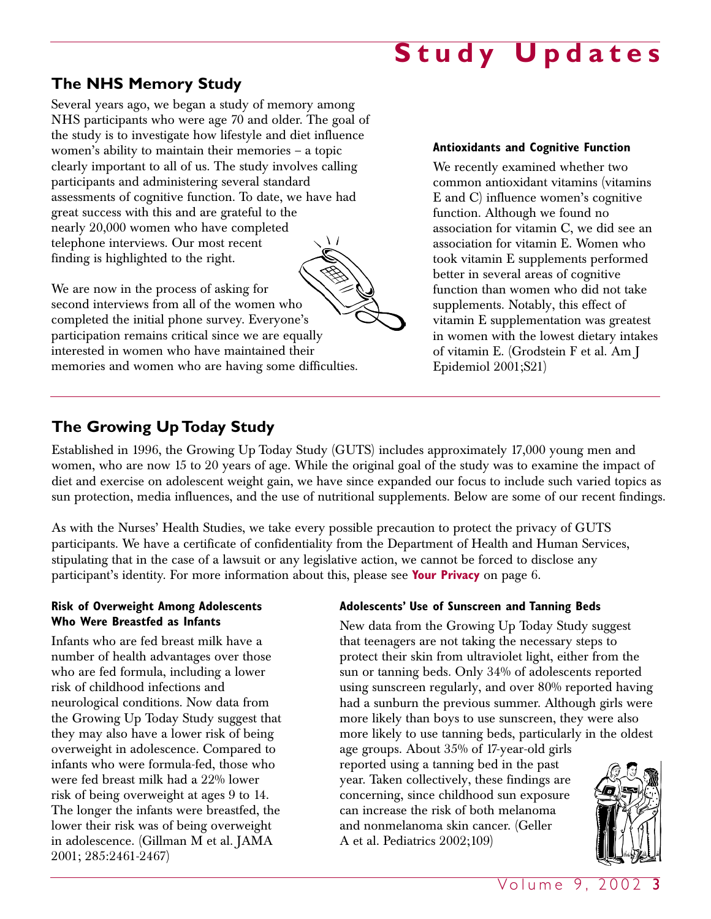# **Study Updates**

## **The NHS Memory Study**

Several years ago, we began a study of memory among NHS participants who were age 70 and older. The goal of the study is to investigate how lifestyle and diet influence women's ability to maintain their memories – a topic clearly important to all of us. The study involves calling participants and administering several standard assessments of cognitive function. To date, we have had great success with this and are grateful to the nearly 20,000 women who have completed telephone interviews. Our most recent finding is highlighted to the right.

We are now in the process of asking for second interviews from all of the women who completed the initial phone survey. Everyone's participation remains critical since we are equally interested in women who have maintained their memories and women who are having some difficulties.

## **Antioxidants and Cognitive Function**

We recently examined whether two common antioxidant vitamins (vitamins E and C) influence women's cognitive function. Although we found no association for vitamin C, we did see an association for vitamin E. Women who took vitamin E supplements performed better in several areas of cognitive function than women who did not take supplements. Notably, this effect of vitamin E supplementation was greatest in women with the lowest dietary intakes of vitamin E. (Grodstein F et al. Am J Epidemiol 2001;S21)

### **The Growing Up Today Study**

Established in 1996, the Growing Up Today Study (GUTS) includes approximately 17,000 young men and women, who are now 15 to 20 years of age. While the original goal of the study was to examine the impact of diet and exercise on adolescent weight gain, we have since expanded our focus to include such varied topics as sun protection, media influences, and the use of nutritional supplements. Below are some of our recent findings.

As with the Nurses' Health Studies, we take every possible precaution to protect the privacy of GUTS participants. We have a certificate of confidentiality from the Department of Health and Human Services, stipulating that in the case of a lawsuit or any legislative action, we cannot be forced to disclose any participant's identity. For more information about this, please see **Your Privacy** on page 6.

#### **Risk of Overweight Among Adolescents Who Were Breastfed as Infants**

Infants who are fed breast milk have a number of health advantages over those who are fed formula, including a lower risk of childhood infections and neurological conditions. Now data from the Growing Up Today Study suggest that they may also have a lower risk of being overweight in adolescence. Compared to infants who were formula-fed, those who were fed breast milk had a 22% lower risk of being overweight at ages 9 to 14. The longer the infants were breastfed, the lower their risk was of being overweight in adolescence. (Gillman M et al. JAMA 2001; 285:2461-2467)

#### **Adolescents' Use of Sunscreen and Tanning Beds**

New data from the Growing Up Today Study suggest that teenagers are not taking the necessary steps to protect their skin from ultraviolet light, either from the sun or tanning beds. Only 34% of adolescents reported using sunscreen regularly, and over 80% reported having had a sunburn the previous summer. Although girls were more likely than boys to use sunscreen, they were also more likely to use tanning beds, particularly in the oldest

age groups. About 35% of 17-year-old girls reported using a tanning bed in the past year. Taken collectively, these findings are concerning, since childhood sun exposure can increase the risk of both melanoma and nonmelanoma skin cancer. (Geller A et al. Pediatrics 2002;109)

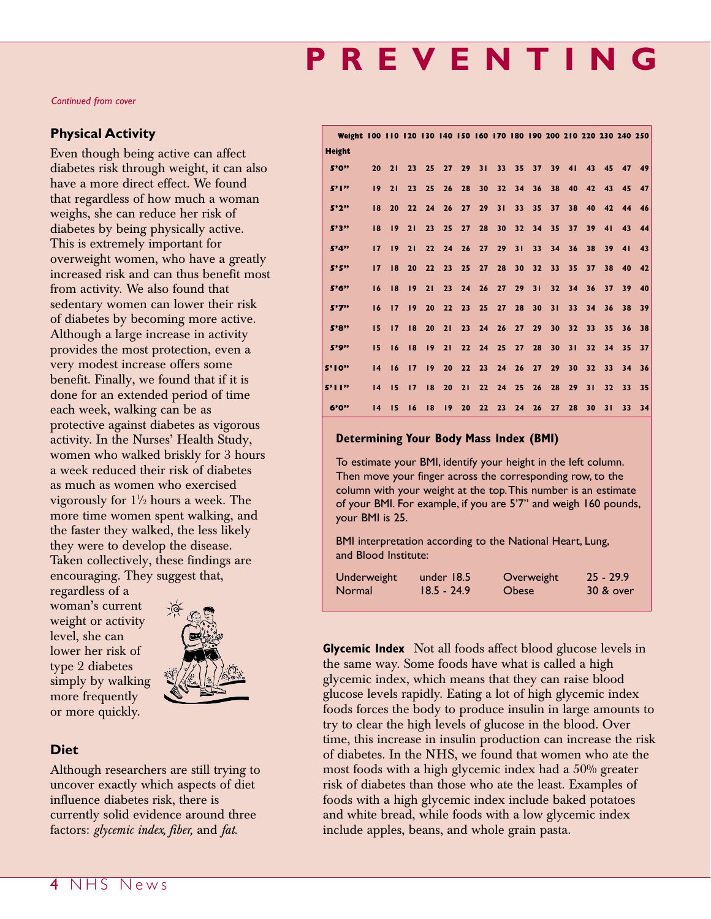# **PREVENTING**

*Continued from cover*

#### **Physical Activity**

Even though being active can affect diabetes risk through weight, it can also have a more direct effect. We found that regardless of how much a woman weighs, she can reduce her risk of diabetes by being physically active. This is extremely important for overweight women, who have a greatly increased risk and can thus benefit most from activity. We also found that sedentary women can lower their risk of diabetes by becoming more active. Although a large increase in activity provides the most protection, even a very modest increase offers some benefit. Finally, we found that if it is done for an extended period of time each week, walking can be as protective against diabetes as vigorous activity. In the Nurses' Health Study, women who walked briskly for 3 hours a week reduced their risk of diabetes as much as women who exercised vigorously for  $1\frac{1}{2}$  hours a week. The more time women spent walking, and the faster they walked, the less likely they were to develop the disease. Taken collectively, these findings are encouraging. They suggest that,

regardless of a woman's current weight or activity level, she can lower her risk of type 2 diabetes simply by walking more frequently or more quickly.



#### **Diet**

Although researchers are still trying to uncover exactly which aspects of diet influence diabetes risk, there is currently solid evidence around three factors: *glycemic index, fiber,* and *fat*.

|               |    |    |    |                 |                 |                 |                 |                 |                 |                 |                 |                 |                 |                 |                         | Weight 100 110 120 130 140 150 160 170 180 190 200 210 220 230 240 250 |
|---------------|----|----|----|-----------------|-----------------|-----------------|-----------------|-----------------|-----------------|-----------------|-----------------|-----------------|-----------------|-----------------|-------------------------|------------------------------------------------------------------------|
| <b>Height</b> |    |    |    |                 |                 |                 |                 |                 |                 |                 |                 |                 |                 |                 |                         |                                                                        |
| 5'0"          | 20 | 21 | 23 | 25              | 27              | 29              | 31              |                 | 33 35 37        |                 |                 |                 |                 | 39 41 43 45     | 47                      | 49                                                                     |
| 5'1"          | 19 | 21 | 23 | 25              | 26              | 28              | 30 <sup>1</sup> |                 |                 |                 |                 |                 |                 |                 | 32 34 36 38 40 42 43 45 | 47                                                                     |
| 5'2''         | 18 | 20 | 22 | 24              | 26              | 27              | 29 <sup>°</sup> | 31              | 33 <sup>2</sup> | 35 <sub>1</sub> | 37 <sup>7</sup> |                 |                 |                 | 38 40 42 44 46          |                                                                        |
| 5'3"          | 18 | 19 | 21 | 23              | 25 <sub>2</sub> | 27              | 28              | 30 <sub>1</sub> | 32 <sup>2</sup> |                 | 34 35           | 37 <sup>2</sup> | 39 <sup>2</sup> | 41              | 43                      | 44                                                                     |
| 5'4"          | 17 | 19 | 21 | 22              | 24              | 26              | 27 <sup>2</sup> | 29              | 31              | 33 <sup>2</sup> | 34              | 36 <sup>2</sup> | 38              | 39 <sup>2</sup> | 41                      | 43                                                                     |
| 5'5"          | 17 | 18 | 20 | 22              | 23 <sup>7</sup> | 25              | 27              | 28              | 30 <sub>2</sub> | 32 <sub>2</sub> | 33 <sup>2</sup> | 35 <sub>1</sub> | 37 <sup>2</sup> | 38              |                         | 40 42                                                                  |
| 5'6"          | 16 | 18 | 19 | 21              | 23 <sup>2</sup> | 24              | 26              | 27              | 29              | 31              | 32 <sub>2</sub> | 34              | 36              | 37 <sup>2</sup> | 39                      | 40                                                                     |
| 5'7''         | 16 | 17 | 19 | 20              | 22              | 23              | 25              | 27              | 28              | 30 <sub>1</sub> | 31              | 33 <sup>2</sup> | 34              | 36 <sup>2</sup> | 38                      | 39                                                                     |
| 5'8"          | 15 | 17 | 8  | 20              | 21              | 23 <sup>7</sup> |                 | 24 26 27        |                 | 29 <sup>°</sup> | 30 <sub>1</sub> | 32 <sub>2</sub> | 33              | 35              | 36 <sub>1</sub>         | 38                                                                     |
| 5'9"          | 15 | 16 | 18 | 19              | 21              | 22              | 24              | 25              | 27              | 28              | 30 <sub>1</sub> | 31              | 32              | 34              | 35                      | 37                                                                     |
| 5'10''        | 14 | 16 | 17 | 19 <sup>7</sup> | 20 <sub>2</sub> | 22              |                 | 23 24 26        |                 | 27 <sub>2</sub> | 29              | 30 <sub>1</sub> | 32 <sub>2</sub> | 33 <sup>2</sup> | 34                      | 36                                                                     |
| 5'11''        | 14 | 15 | 17 | 18              | 20              | 21              | 22              |                 | 24 25           | 26              | 28              | 29 <sup>°</sup> | 31              | 32 <sup>2</sup> | 33                      | 35                                                                     |
| 6'0"          | 14 | 15 | 16 | 18              | 19 <sup>2</sup> | 20              | 22 <sup>1</sup> | 23              | 24              | 26              | 27              | 28              | 30              | 31              | 33 <sup>2</sup>         | 34                                                                     |

#### **Determining Your Body Mass Index (BMI)**

To estimate your BMI, identify your height in the left column. Then move your finger across the corresponding row, to the column with your weight at the top.This number is an estimate of your BMI. For example, if you are 5'7" and weigh 160 pounds, your BMI is 25.

BMI interpretation according to the National Heart, Lung, and Blood Institute:

| Underweight | under $18.5$  | Overweight   | $25 - 29.9$ |
|-------------|---------------|--------------|-------------|
| Normal      | $18.5 - 24.9$ | <b>Obese</b> | 30 & over   |

**Glycemic Index** Not all foods affect blood glucose levels in the same way. Some foods have what is called a high glycemic index, which means that they can raise blood glucose levels rapidly. Eating a lot of high glycemic index foods forces the body to produce insulin in large amounts to try to clear the high levels of glucose in the blood. Over time, this increase in insulin production can increase the risk of diabetes. In the NHS, we found that women who ate the most foods with a high glycemic index had a 50% greater risk of diabetes than those who ate the least. Examples of foods with a high glycemic index include baked potatoes and white bread, while foods with a low glycemic index include apples, beans, and whole grain pasta.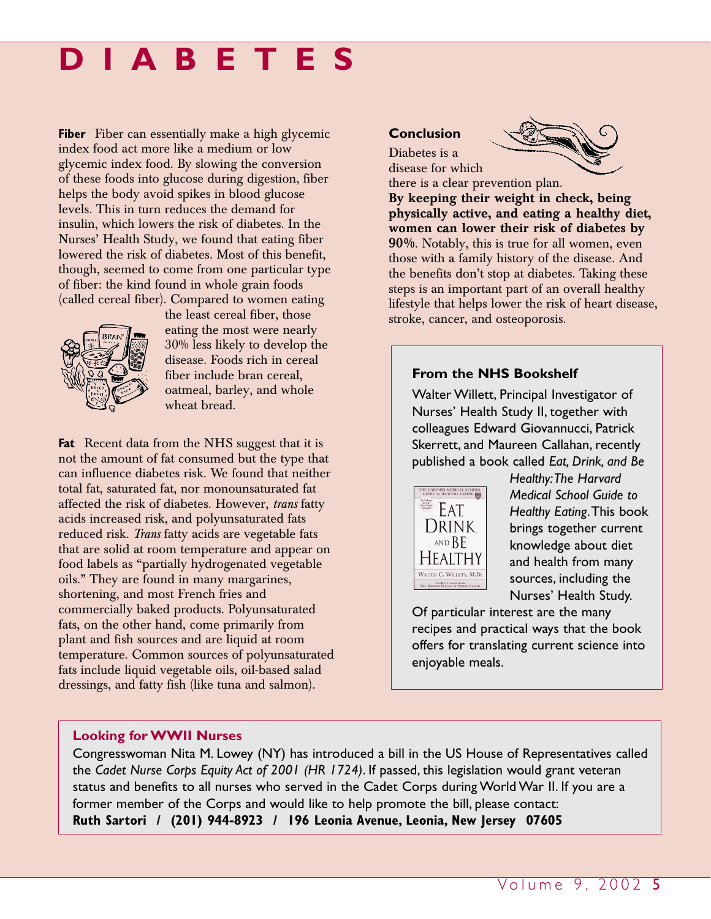# **DIABETES**

**Fiber** Fiber can essentially make a high glycemic index food act more like a medium or low glycemic index food. By slowing the conversion of these foods into glucose during digestion, fiber helps the body avoid spikes in blood glucose levels. This in turn reduces the demand for insulin, which lowers the risk of diabetes. In the Nurses' Health Study, we found that eating fiber lowered the risk of diabetes. Most of this benefit, though, seemed to come from one particular type of fiber: the kind found in whole grain foods (called cereal fiber). Compared to women eating



the least cereal fiber, those eating the most were nearly 30% less likely to develop the disease. Foods rich in cereal fiber include bran cereal, oatmeal, barley, and whole wheat bread.

**Fat** Recent data from the NHS suggest that it is not the amount of fat consumed but the type that can influence diabetes risk. We found that neither total fat, saturated fat, nor monounsaturated fat affected the risk of diabetes. However, *trans* fatty acids increased risk, and polyunsaturated fats reduced risk. *Trans* fatty acids are vegetable fats that are solid at room temperature and appear on food labels as "partially hydrogenated vegetable oils." They are found in many margarines, shortening, and most French fries and commercially baked products. Polyunsaturated fats, on the other hand, come primarily from plant and fish sources and are liquid at room temperature. Common sources of polyunsaturated fats include liquid vegetable oils, oil-based salad dressings, and fatty fish (like tuna and salmon).

#### **Conclusion** Diabetes is a



disease for which there is a clear prevention plan.

**By keeping their weight in check, being physically active, and eating a healthy diet, women can lower their risk of diabetes by 90%**. Notably, this is true for all women, even those with a family history of the disease. And the benefits don't stop at diabetes. Taking these steps is an important part of an overall healthy lifestyle that helps lower the risk of heart disease, stroke, cancer, and osteoporosis.

#### **From the NHS Bookshelf**

Walter Willett, Principal Investigator of Nurses' Health Study II, together with colleagues Edward Giovannucci, Patrick Skerrett, and Maureen Callahan, recently published a book called *Eat, Drink, and Be*



*Healthy:The Harvard Medical School Guide to Healthy Eating*.This book brings together current knowledge about diet and health from many sources, including the Nurses' Health Study.

Of particular interest are the many recipes and practical ways that the book offers for translating current science into enjoyable meals.

#### **Looking for WWII Nurses**

Congresswoman Nita M. Lowey (NY) has introduced a bill in the US House of Representatives called the *Cadet Nurse Corps Equity Act of 2001 (HR 1724)*. If passed, this legislation would grant veteran status and benefits to all nurses who served in the Cadet Corps during World War II. If you are a former member of the Corps and would like to help promote the bill, please contact: **Ruth Sartori / (201) 944-8923 / 196 Leonia Avenue, Leonia, New Jersey 07605**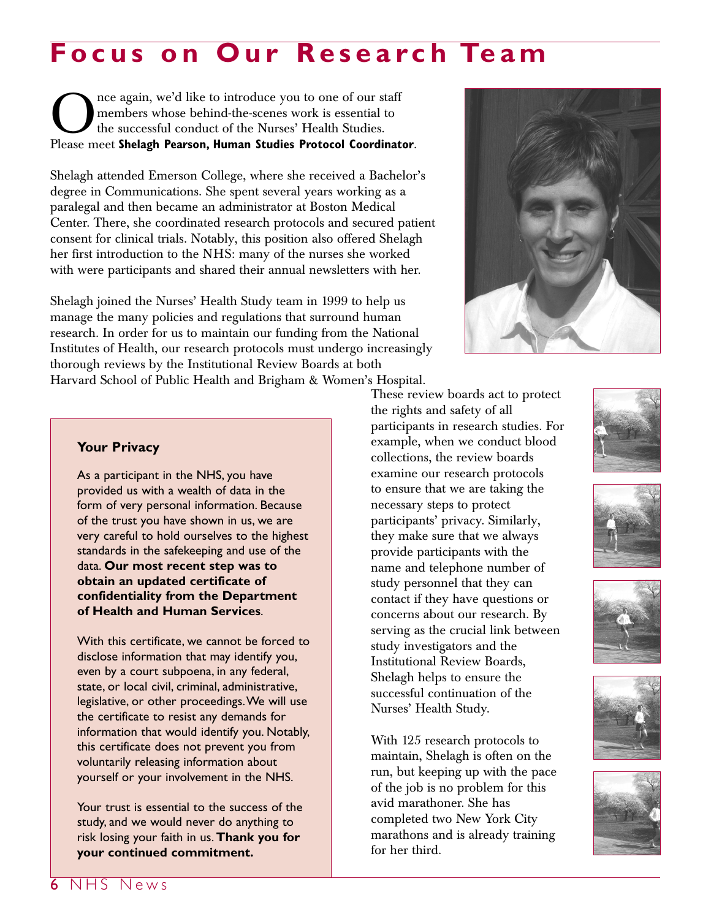# **Focus on Our Research Team**

The again, we'd like to introduce you to one of our staff<br>the successful conduct of the Nurses' Health Studies.<br>Please meet Shelagh Pearson. Human Studies Protocol Coordinat members whose behind-the-scenes work is essential to the successful conduct of the Nurses' Health Studies. Please meet **Shelagh Pearson, Human Studies Protocol Coordinator**.

Shelagh attended Emerson College, where she received a Bachelor's degree in Communications. She spent several years working as a paralegal and then became an administrator at Boston Medical Center. There, she coordinated research protocols and secured patient consent for clinical trials. Notably, this position also offered Shelagh her first introduction to the NHS: many of the nurses she worked with were participants and shared their annual newsletters with her.

Shelagh joined the Nurses' Health Study team in 1999 to help us manage the many policies and regulations that surround human research. In order for us to maintain our funding from the National Institutes of Health, our research protocols must undergo increasingly thorough reviews by the Institutional Review Boards at both Harvard School of Public Health and Brigham & Women's Hospital.













#### **Your Privacy**

As a participant in the NHS, you have provided us with a wealth of data in the form of very personal information. Because of the trust you have shown in us, we are very careful to hold ourselves to the highest standards in the safekeeping and use of the data. **Our most recent step was to obtain an updated certificate of confidentiality from the Department of Health and Human Services**.

With this certificate, we cannot be forced to disclose information that may identify you, even by a court subpoena, in any federal, state, or local civil, criminal, administrative, legislative, or other proceedings.We will use the certificate to resist any demands for information that would identify you. Notably, this certificate does not prevent you from voluntarily releasing information about yourself or your involvement in the NHS.

Your trust is essential to the success of the study, and we would never do anything to risk losing your faith in us. **Thank you for your continued commitment.**

These review boards act to protect the rights and safety of all participants in research studies. For example, when we conduct blood collections, the review boards examine our research protocols to ensure that we are taking the necessary steps to protect participants' privacy. Similarly, they make sure that we always provide participants with the name and telephone number of study personnel that they can contact if they have questions or concerns about our research. By serving as the crucial link between study investigators and the Institutional Review Boards, Shelagh helps to ensure the successful continuation of the Nurses' Health Study.

With 125 research protocols to maintain, Shelagh is often on the run, but keeping up with the pace of the job is no problem for this avid marathoner. She has completed two New York City marathons and is already training for her third.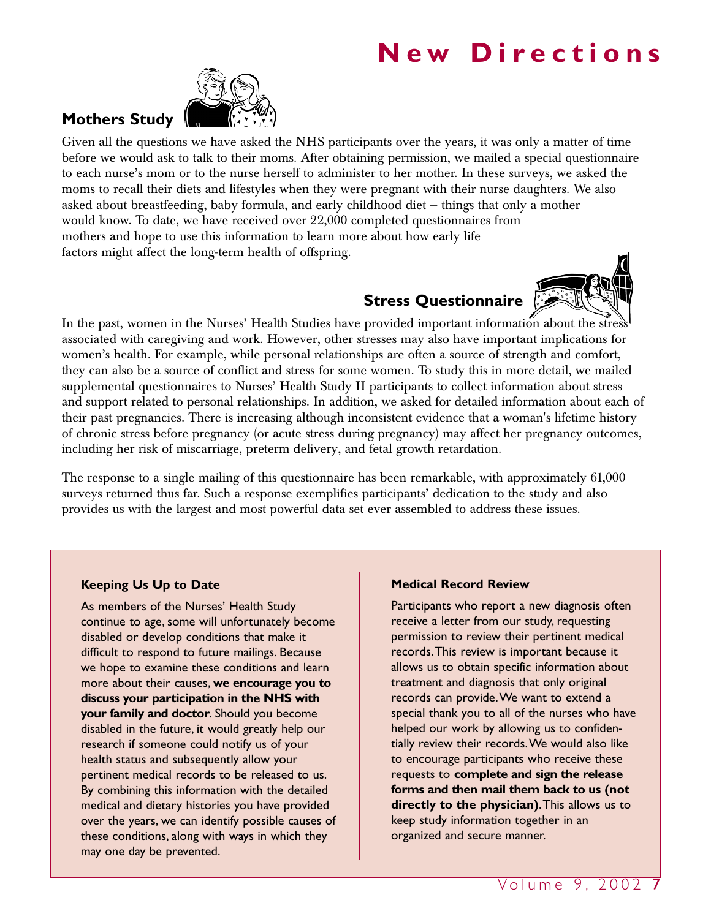## **New Directions**



**Mothers Study**

Given all the questions we have asked the NHS participants over the years, it was only a matter of time before we would ask to talk to their moms. After obtaining permission, we mailed a special questionnaire to each nurse's mom or to the nurse herself to administer to her mother. In these surveys, we asked the moms to recall their diets and lifestyles when they were pregnant with their nurse daughters. We also asked about breastfeeding, baby formula, and early childhood diet — things that only a mother would know. To date, we have received over 22,000 completed questionnaires from mothers and hope to use this information to learn more about how early life factors might affect the long-term health of offspring.

## **Stress Questionnaire**



In the past, women in the Nurses' Health Studies have provided important information about the stres associated with caregiving and work. However, other stresses may also have important implications for women's health. For example, while personal relationships are often a source of strength and comfort, they can also be a source of conflict and stress for some women. To study this in more detail, we mailed supplemental questionnaires to Nurses' Health Study II participants to collect information about stress and support related to personal relationships. In addition, we asked for detailed information about each of their past pregnancies. There is increasing although inconsistent evidence that a woman's lifetime history of chronic stress before pregnancy (or acute stress during pregnancy) may affect her pregnancy outcomes, including her risk of miscarriage, preterm delivery, and fetal growth retardation.

The response to a single mailing of this questionnaire has been remarkable, with approximately 61,000 surveys returned thus far. Such a response exemplifies participants' dedication to the study and also provides us with the largest and most powerful data set ever assembled to address these issues.

#### **Keeping Us Up to Date**

As members of the Nurses' Health Study continue to age, some will unfortunately become disabled or develop conditions that make it difficult to respond to future mailings. Because we hope to examine these conditions and learn more about their causes, **we encourage you to discuss your participation in the NHS with your family and doctor**. Should you become disabled in the future, it would greatly help our research if someone could notify us of your health status and subsequently allow your pertinent medical records to be released to us. By combining this information with the detailed medical and dietary histories you have provided over the years, we can identify possible causes of these conditions, along with ways in which they may one day be prevented.

#### **Medical Record Review**

Participants who report a new diagnosis often receive a letter from our study, requesting permission to review their pertinent medical records.This review is important because it allows us to obtain specific information about treatment and diagnosis that only original records can provide.We want to extend a special thank you to all of the nurses who have helped our work by allowing us to confidentially review their records.We would also like to encourage participants who receive these requests to **complete and sign the release forms and then mail them back to us (not directly to the physician)**.This allows us to keep study information together in an organized and secure manner.